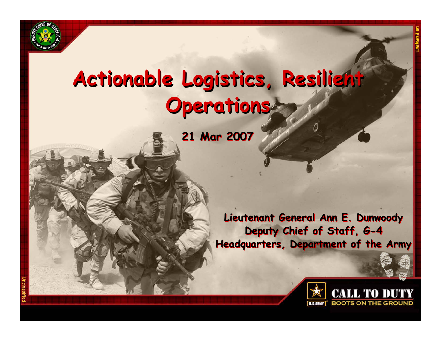

# **Actionable Logistics, Resilient Actionable Logistics, Resilient Operations Operations**

**21 Mar 2007 21 Mar 2007**

**Lieutenant General Ann E. Dunwoody Lieutenant General Ann E. Dunwoody Deputy Chief of Staff, G-4 Deputy Chief of Staff, G-4 Headquarters, Department of the Army Headquarters, Department of the Army**

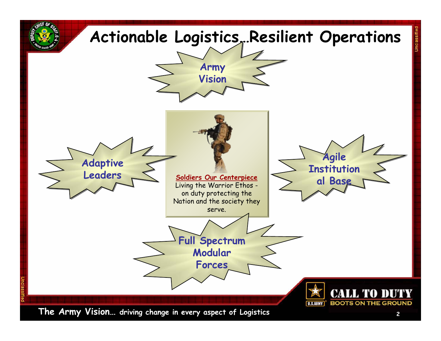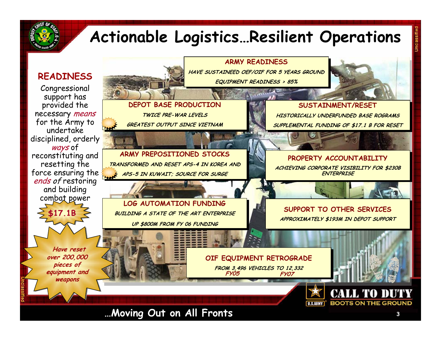

**Unclassified**

## **Actionable Logistics…Resilient Operations**



**…Moving Out on All Fronts**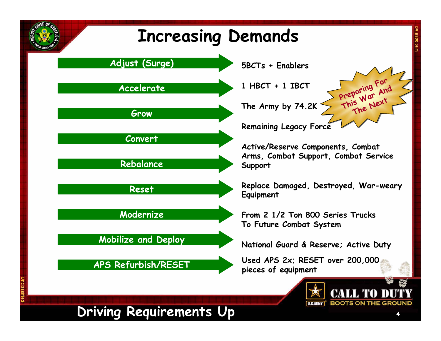

**Unclassified**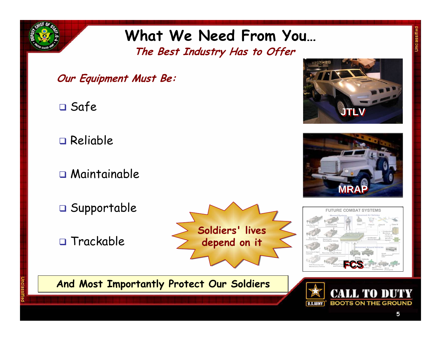

### **What We Need From You… The Best Industry Has to Offer**

- **Our Equipment Must Be:**
- Safe
- Reliable
- Maintainable
- $\Box$  Supportable
- □ Trackable